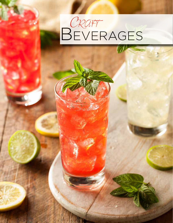## *Craft* **BEVERAGES**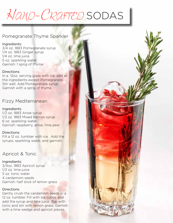## *Hand-Crafted* sodas

### Pomegranate Thyme Sparkler

### Ingredients:

3/4 oz. 1883 Pomegranate syrup 1/4 oz. 1883 Ginger syrup 1/4 oz. lime juice 5 oz. sparkling water Garnish: 1 sprig of thyme

### Directions:

In a 12oz. serving glass with ice, add all the ingredients except Pomegranate. Stir well. Add Pomegranate syrup. Garnish with a sprig of thyme.

## Fizzy Mediterranean

### Ingredients:

1/2 oz. 1883 Anise syrup 1/2 oz. 1883 Mixed Berries syrup 6 oz. sparkling water Garnish: raspberry, anise, lime peel

### Directions:

Fill a 12 oz. tumbler with ice. Add the syrups, sparkling water, and garnish.

### Apricot & Tonic

### Ingredients:

3/4oz. 1883 Apricot syrup 1/2 oz. lime juice 5 oz. tonic water 4 cardamom seeds Garnish: half stick of lemon grass

### Directions:

Gently crush the cardamom seeds in a 12 oz. tumbler. Fill with ice cubes and add the syrup and lime juice. Top with tonic and stir with lemon grass. Garnish with a lime wedge and apricot pieces.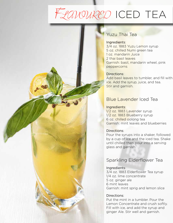## *Flavoured* iced tea

### Yuzu Thai Tea

#### Ingredients:

3/4 oz. 1883 Yuzu Lemon syrup 5 oz. chilled Numi green tea 1 oz. mandarin Juice 2 thai basil leaves Garnish: basil, mandarin wheel, pink peppercorns

### Directions:

Add basil leaves to tumbler, and fill with ice. Add the syrup, juice, and tea. Stir and garnish.

## Blue Lavender Iced Tea

#### Ingredients:

1/2 oz. 1883 Lavender syrup 1/2 oz. 1883 Blueberry syrup 6 oz. chilled oolong tea Garnish: mint leaves and blueberries

### Directions:

Pour the syrups into a shaker, followed by a cup of ice and the iced tea. Shake until chilled then pour into a serving glass and garnish.

## Sparkling Elderflower Tea

### Ingredients:

3/4 oz. 1883 Elderflower Tea syrup 1/4 oz. lime concentrate 5 oz. ginger ale 6 mint leaves Garnish: mint sprig and lemon slice

### Directions:

Put the mint in a tumbler. Pour the Lemon Concentrate and crush softly. Fill with ice, and add the syrup and ginger Ale. Stir well and garnish.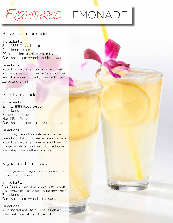## *Flavoured* lemonade

## Botanica Lemonade

### Ingredients:

3 oz. 1883 Orchid syrup 2 oz. lemon juice 20 oz. chilled jasmine white tea Garnish: lemon wheel, orchid flowers

### Directions:

Pour the syrup, lemon juice, and tea in a 1L soda siphon. Insert a Co2 canister and shake well. Fill a tumber with ice, serve and garnish.

### Pink Lemonade

### Ingredients:

3/4 oz. 1883 Rose syrup 5 oz. lemonade Squeeze of lime Numi Earl Grey tea ice cubes Garnish: lime peel, rose or rose petals

### Directions:

Earl Grey ice cubes: infuse Numi Earl Grey tea, chill, and freeze in an ice tray. Pour the syrup, lemonade, and lime squeeze into a tumbler with Earl Grey ice cubes. Stir well and garnish.

## Signature Lemonade

Create your own signature lemonade with these easy directions:

### Ingredients:

1 oz. 1883 syrup of choice (fruity flavours like Pomegranate or Raspberry recommended) 7 oz. lemonade Garnish: lemon wheel, mint sprig

### Directions:

Add ingredients to a 16 oz. tumbler filled with ice. Stir and garnish.